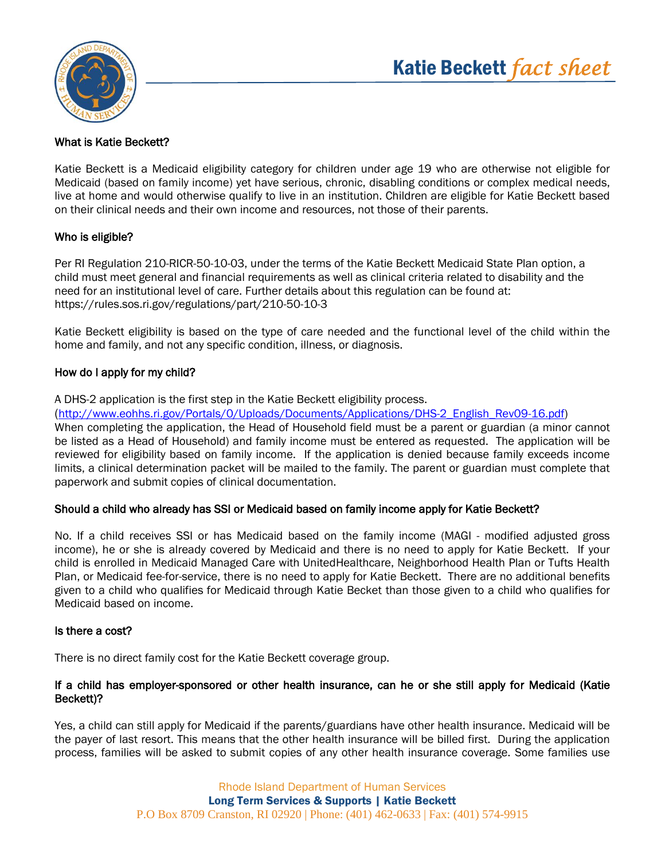

# Katie Beckett *fact sheet*

## What is Katie Beckett?

Katie Beckett is a Medicaid eligibility category for children under age 19 who are otherwise not eligible for Medicaid (based on family income) yet have serious, chronic, disabling conditions or complex medical needs, live at home and would otherwise qualify to live in an institution. Children are eligible for Katie Beckett based on their clinical needs and their own income and resources, not those of their parents.

## Who is eligible?

Per RI Regulation 210-RICR-50-10-03, under the terms of the Katie Beckett Medicaid State Plan option, a child must meet general and financial requirements as well as clinical criteria related to disability and the need for an institutional level of care. Further details about this regulation can be found at: https://rules.sos.ri.gov/regulations/part/210-50-10-3

Katie Beckett eligibility is based on the type of care needed and the functional level of the child within the home and family, and not any specific condition, illness, or diagnosis.

#### How do I apply for my child?

A DHS-2 application is the first step in the Katie Beckett eligibility process.

([http://www.eohhs.ri.gov/Portals/0/Uploads/Documents/Applications/DHS-2\\_English\\_Rev09-16.pdf\)](http://www.eohhs.ri.gov/Portals/0/Uploads/Documents/Applications/DHS-2_English_Rev09-16.pdf)

When completing the application, the Head of Household field must be a parent or guardian (a minor cannot be listed as a Head of Household) and family income must be entered as requested. The application will be reviewed for eligibility based on family income. If the application is denied because family exceeds income limits, a clinical determination packet will be mailed to the family. The parent or guardian must complete that paperwork and submit copies of clinical documentation.

#### Should a child who already has SSI or Medicaid based on family income apply for Katie Beckett?

No. If a child receives SSI or has Medicaid based on the family income (MAGI - modified adjusted gross income), he or she is already covered by Medicaid and there is no need to apply for Katie Beckett. If your child is enrolled in Medicaid Managed Care with UnitedHealthcare, Neighborhood Health Plan or Tufts Health Plan, or Medicaid fee-for-service, there is no need to apply for Katie Beckett. There are no additional benefits given to a child who qualifies for Medicaid through Katie Becket than those given to a child who qualifies for Medicaid based on income.

#### Is there a cost?

There is no direct family cost for the Katie Beckett coverage group.

## If a child has employer-sponsored or other health insurance, can he or she still apply for Medicaid (Katie Beckett)?

Yes, a child can still apply for Medicaid if the parents/guardians have other health insurance. Medicaid will be the payer of last resort. This means that the other health insurance will be billed first. During the application process, families will be asked to submit copies of any other health insurance coverage. Some families use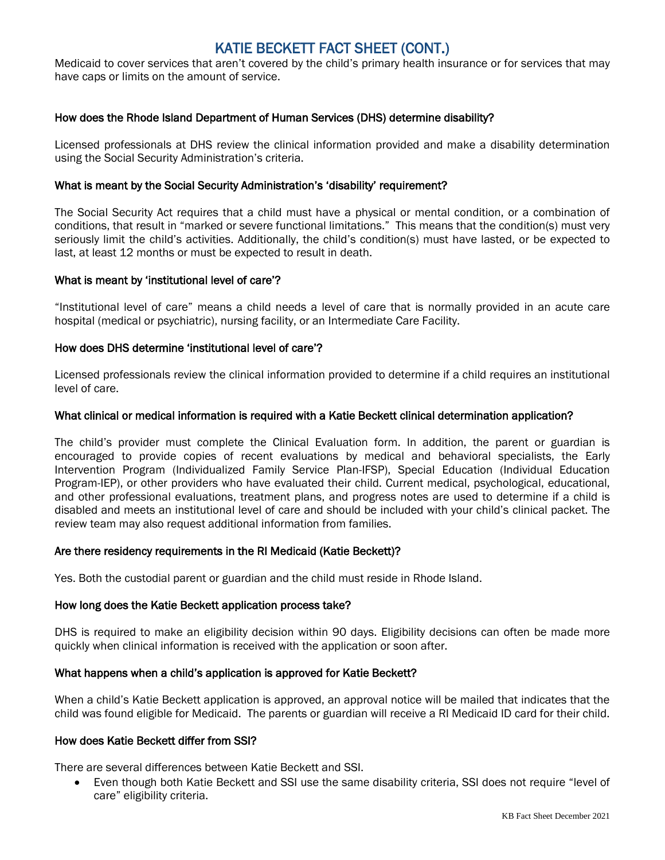# KATIE BECKETT FACT SHEET (CONT.)

Medicaid to cover services that aren't covered by the child's primary health insurance or for services that may have caps or limits on the amount of service.

#### How does the Rhode Island Department of Human Services (DHS) determine disability?

Licensed professionals at DHS review the clinical information provided and make a disability determination using the Social Security Administration's criteria.

#### What is meant by the Social Security Administration's 'disability' requirement?

The Social Security Act requires that a child must have a physical or mental condition, or a combination of conditions, that result in "marked or severe functional limitations." This means that the condition(s) must very seriously limit the child's activities. Additionally, the child's condition(s) must have lasted, or be expected to last, at least 12 months or must be expected to result in death.

#### What is meant by 'institutional level of care'?

"Institutional level of care" means a child needs a level of care that is normally provided in an acute care hospital (medical or psychiatric), nursing facility, or an Intermediate Care Facility.

#### How does DHS determine 'institutional level of care'?

Licensed professionals review the clinical information provided to determine if a child requires an institutional level of care.

#### What clinical or medical information is required with a Katie Beckett clinical determination application?

The child's provider must complete the Clinical Evaluation form. In addition, the parent or guardian is encouraged to provide copies of recent evaluations by medical and behavioral specialists, the Early Intervention Program (Individualized Family Service Plan-IFSP), Special Education (Individual Education Program-IEP), or other providers who have evaluated their child. Current medical, psychological, educational, and other professional evaluations, treatment plans, and progress notes are used to determine if a child is disabled and meets an institutional level of care and should be included with your child's clinical packet. The review team may also request additional information from families.

#### Are there residency requirements in the RI Medicaid (Katie Beckett)?

Yes. Both the custodial parent or guardian and the child must reside in Rhode Island.

#### How long does the Katie Beckett application process take?

DHS is required to make an eligibility decision within 90 days. Eligibility decisions can often be made more quickly when clinical information is received with the application or soon after.

#### What happens when a child's application is approved for Katie Beckett?

When a child's Katie Beckett application is approved, an approval notice will be mailed that indicates that the child was found eligible for Medicaid. The parents or guardian will receive a RI Medicaid ID card for their child.

#### How does Katie Beckett differ from SSI?

There are several differences between Katie Beckett and SSI.

• Even though both Katie Beckett and SSI use the same disability criteria, SSI does not require "level of care" eligibility criteria.